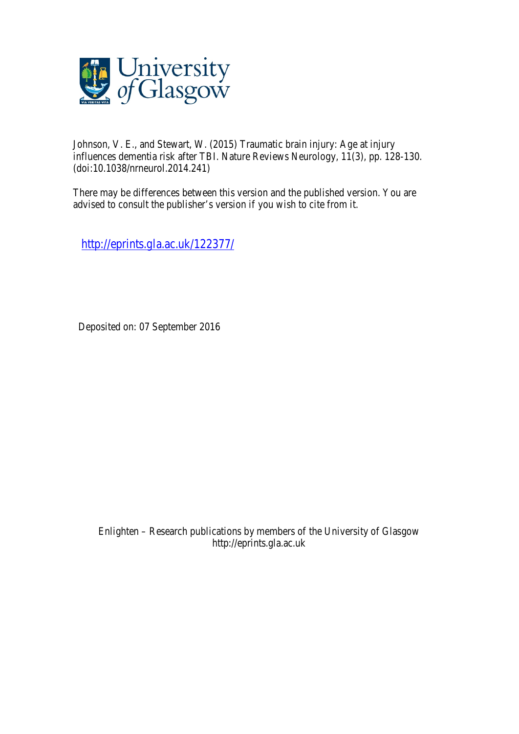

Johnson, V. E., and Stewart, W. (2015) Traumatic brain injury: Age at injury influences dementia risk after TBI. Nature Reviews Neurology, 11(3), pp. 128-130. (doi:10.1038/nrneurol.2014.241)

There may be differences between this version and the published version. You are advised to consult the publisher's version if you wish to cite from it.

http://eprints.gla.ac.uk/122377/

Deposited on: 07 September 2016

Enlighten – Research publications by members of the University of Glasgow http://eprints.gla.ac.uk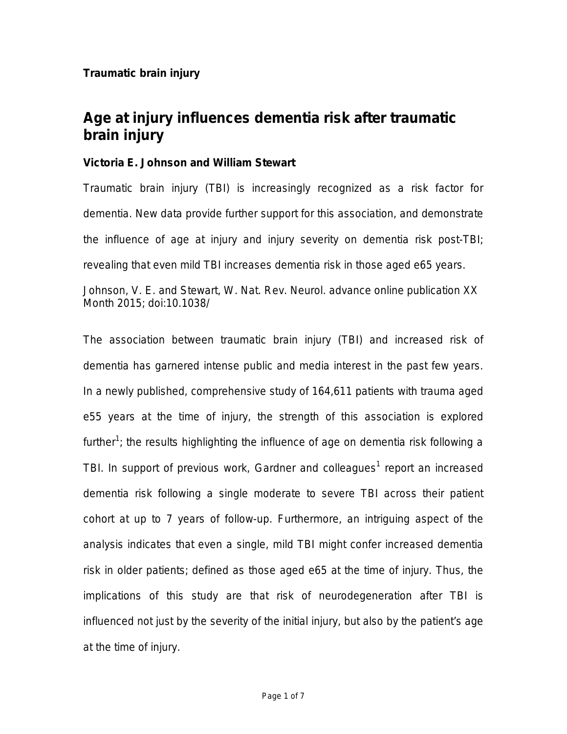Month 2015; doi:10.1038/

## **Age at injury influences dementia risk after traumatic brain injury**

## **Victoria E. Johnson and William Stewart**

Traumatic brain injury (TBI) is increasingly recognized as a risk factor for dementia. New data provide further support for this association, and demonstrate the influence of age at injury and injury severity on dementia risk post-TBI; revealing that even mild TBI increases dementia risk in those aged e65 years. Johnson, V. E. and Stewart, W. *Nat. Rev. Neurol.* advance online publication XX

The association between traumatic brain injury (TBI) and increased risk of dementia has garnered intense public and media interest in the past few years. In a newly published, comprehensive study of 164,611 patients with trauma aged e55 years at the time of injury, the strength of this association is explored further<sup>1</sup>; the results highlighting the influence of age on dementia risk following a TBI. In support of previous work, Gardner and colleagues<sup>1</sup> report an increased dementia risk following a single moderate to severe TBI across their patient cohort at up to 7 years of follow-up. Furthermore, an intriguing aspect of the analysis indicates that even a single, mild TBI might confer increased dementia risk in older patients; defined as those aged e65 at the time of injury. Thus, the implications of this study are that risk of neurodegeneration after TBI is influenced not just by the severity of the initial injury, but also by the patient's age at the time of injury.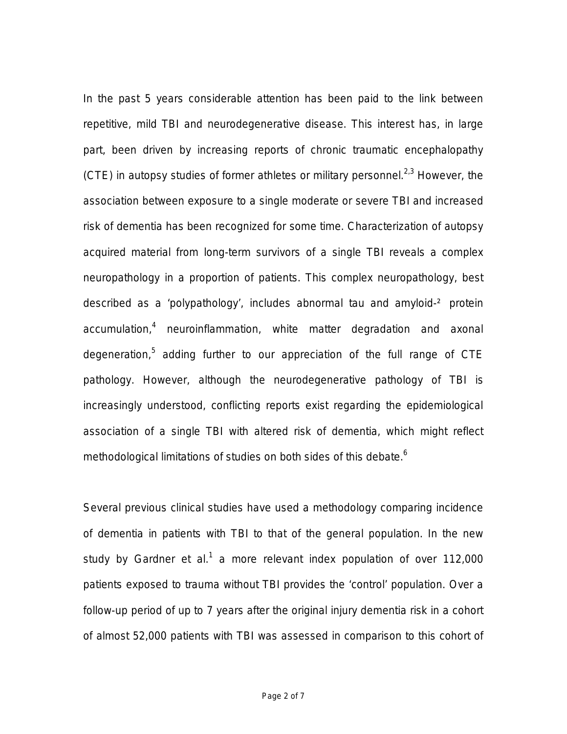In the past 5 years considerable attention has been paid to the link between repetitive, mild TBI and neurodegenerative disease. This interest has, in large part, been driven by increasing reports of chronic traumatic encephalopathy (CTE) in autopsy studies of former athletes or military personnel.<sup>2,3</sup> However, the association between exposure to a single moderate or severe TBI and increased risk of dementia has been recognized for some time. Characterization of autopsy acquired material from long-term survivors of a single TBI reveals a complex neuropathology in a proportion of patients. This complex neuropathology, best described as a 'polypathology', includes abnormal tau and amyloid-² protein accumulation,<sup>4</sup> neuroinflammation, white matter degradation and axonal degeneration,<sup>5</sup> adding further to our appreciation of the full range of CTE pathology. However, although the neurodegenerative pathology of TBI is increasingly understood, conflicting reports exist regarding the epidemiological association of a single TBI with altered risk of dementia, which might reflect methodological limitations of studies on both sides of this debate.<sup>6</sup>

Several previous clinical studies have used a methodology comparing incidence of dementia in patients with TBI to that of the general population. In the new study by Gardner *et al*. <sup>1</sup> a more relevant index population of over 112,000 patients exposed to trauma without TBI provides the 'control' population. Over a follow-up period of up to 7 years after the original injury dementia risk in a cohort of almost 52,000 patients with TBI was assessed in comparison to this cohort of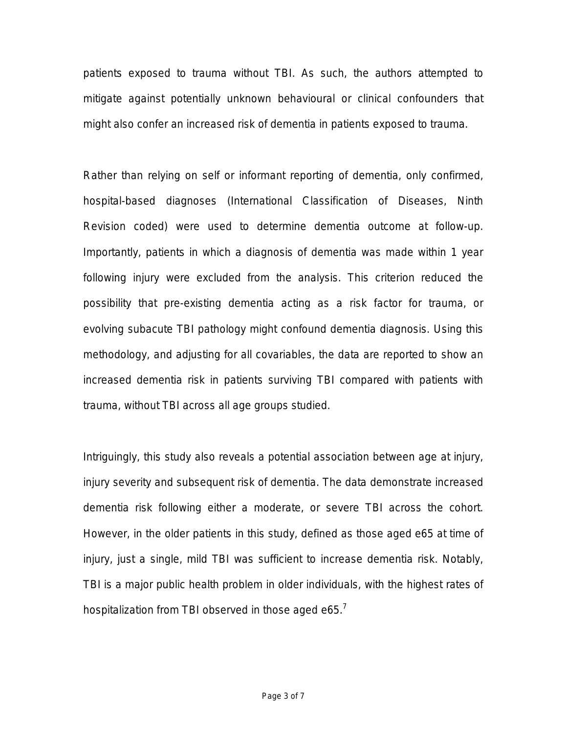patients exposed to trauma without TBI. As such, the authors attempted to mitigate against potentially unknown behavioural or clinical confounders that might also confer an increased risk of dementia in patients exposed to trauma.

Rather than relying on self or informant reporting of dementia, only confirmed, hospital-based diagnoses (International Classification of Diseases, Ninth Revision coded) were used to determine dementia outcome at follow-up. Importantly, patients in which a diagnosis of dementia was made within 1 year following injury were excluded from the analysis. This criterion reduced the possibility that pre-existing dementia acting as a risk factor for trauma, or evolving subacute TBI pathology might confound dementia diagnosis. Using this methodology, and adjusting for all covariables, the data are reported to show an increased dementia risk in patients surviving TBI compared with patients with trauma, without TBI across all age groups studied.

Intriguingly, this study also reveals a potential association between age at injury, injury severity and subsequent risk of dementia. The data demonstrate increased dementia risk following either a moderate, or severe TBI across the cohort. However, in the older patients in this study, defined as those aged e65 at time of injury, just a single, mild TBI was sufficient to increase dementia risk. Notably, TBI is a major public health problem in older individuals, with the highest rates of hospitalization from TBI observed in those aged e65.<sup>7</sup>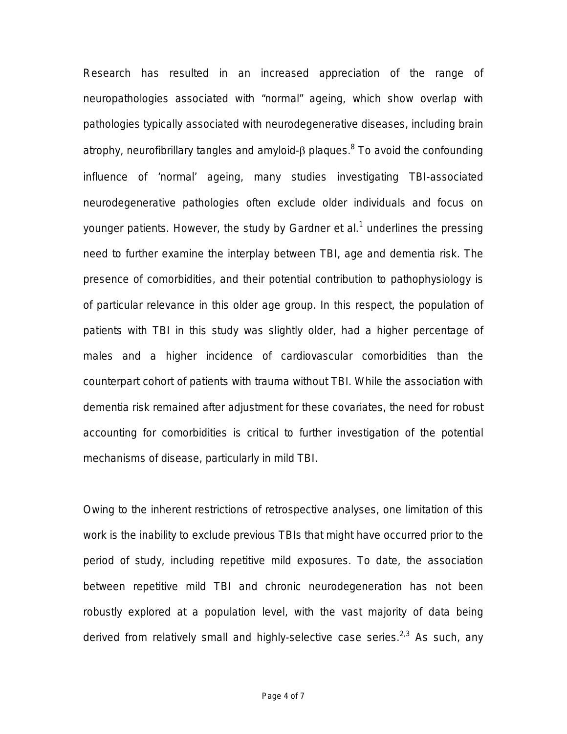Research has resulted in an increased appreciation of the range of neuropathologies associated with "normal" ageing, which show overlap with pathologies typically associated with neurodegenerative diseases, including brain atrophy, neurofibrillary tangles and amyloid-β plaques.<sup>8</sup> To avoid the confounding influence of 'normal' ageing, many studies investigating TBI-associated neurodegenerative pathologies often exclude older individuals and focus on younger patients. However, the study by Gardner *et al*. <sup>1</sup> underlines the pressing need to further examine the interplay between TBI, age and dementia risk. The presence of comorbidities, and their potential contribution to pathophysiology is of particular relevance in this older age group. In this respect, the population of patients with TBI in this study was slightly older, had a higher percentage of males and a higher incidence of cardiovascular comorbidities than the counterpart cohort of patients with trauma without TBI. While the association with dementia risk remained after adjustment for these covariates, the need for robust accounting for comorbidities is critical to further investigation of the potential mechanisms of disease, particularly in mild TBI.

Owing to the inherent restrictions of retrospective analyses, one limitation of this work is the inability to exclude previous TBIs that might have occurred prior to the period of study, including repetitive mild exposures. To date, the association between repetitive mild TBI and chronic neurodegeneration has not been robustly explored at a population level, with the vast majority of data being derived from relatively small and highly-selective case series.<sup>2,3</sup> As such, any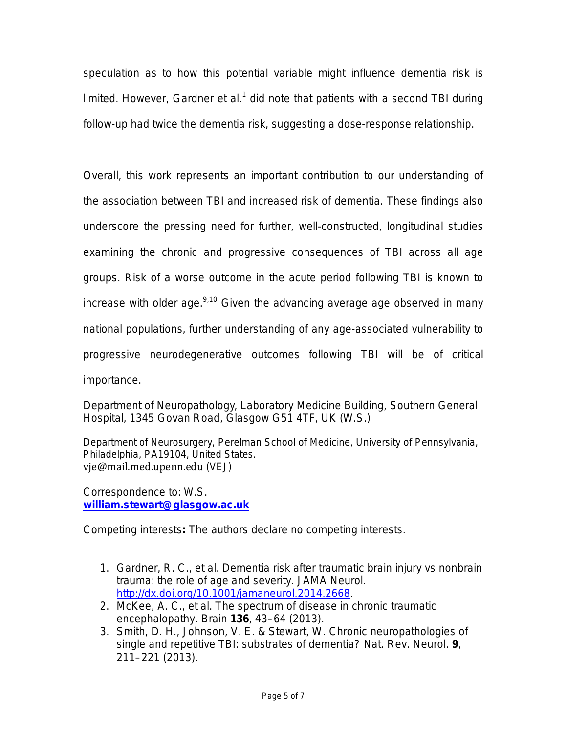speculation as to how this potential variable might influence dementia risk is limited. However, Gardner *et al*.<sup>1</sup> did note that patients with a second TBI during follow-up had twice the dementia risk, suggesting a dose-response relationship.

Overall, this work represents an important contribution to our understanding of the association between TBI and increased risk of dementia. These findings also underscore the pressing need for further, well-constructed, longitudinal studies examining the chronic and progressive consequences of TBI across all age groups. Risk of a worse outcome in the acute period following TBI is known to increase with older age. $9,10$  Given the advancing average age observed in many national populations, further understanding of any age-associated vulnerability to progressive neurodegenerative outcomes following TBI will be of critical importance.

Department of Neuropathology, Laboratory Medicine Building, Southern General Hospital, 1345 Govan Road, Glasgow G51 4TF, UK (W.S.)

Department of Neurosurgery, Perelman School of Medicine, University of Pennsylvania, Philadelphia, PA19104, United States. vje@mail.med.upenn.edu (VEJ)

Correspondence to: W.S. **william.stewart@glasgow.ac.uk**

Competing interests**:** The authors declare no competing interests.

- 1. Gardner, R. C.*, et al.* Dementia risk after traumatic brain injury vs nonbrain trauma: the role of age and severity. *JAMA Neurol*. http://dx.doi.org/10.1001/jamaneurol.2014.2668.
- *2.* McKee, A. C., *et al*. The spectrum of disease in chronic traumatic encephalopathy. *Brain* **136**, 43–64 (2013).
- 3. Smith, D. H., Johnson, V. E. & Stewart, W. Chronic neuropathologies of single and repetitive TBI: substrates of dementia? *Nat. Rev. Neurol.* **9**, 211–221 (2013).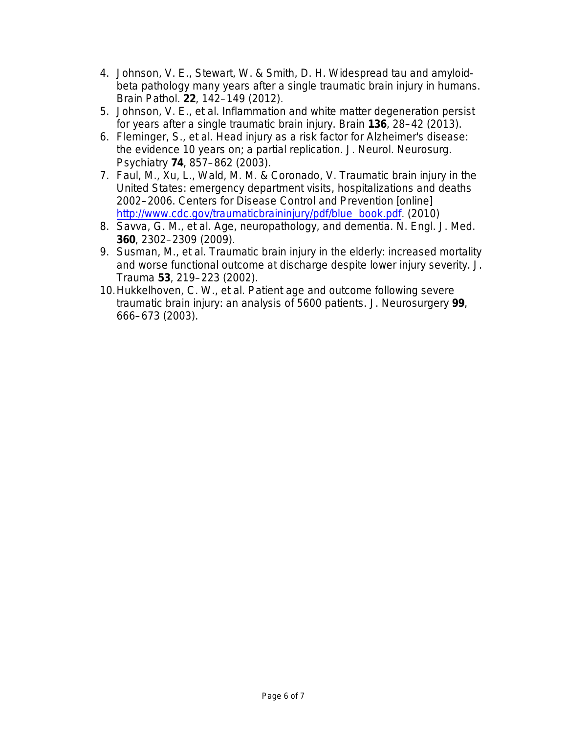- 4. Johnson, V. E., Stewart, W. & Smith, D. H. Widespread tau and amyloidbeta pathology many years after a single traumatic brain injury in humans. *Brain Pathol.* **22**, 142–149 (2012).
- 5. Johnson, V. E.*, et al.* Inflammation and white matter degeneration persist for years after a single traumatic brain injury. *Brain* **136**, 28–42 (2013).
- 6. Fleminger, S., *et al*. Head injury as a risk factor for Alzheimer's disease: the evidence 10 years on; a partial replication. *J. Neurol. Neurosurg. Psychiatry* **74**, 857–862 (2003).
- 7. Faul, M., Xu, L., Wald, M. M. & Coronado, V. Traumatic brain injury in the United States: emergency department visits, hospitalizations and deaths 2002–2006. Centers for Disease Control and Prevention [online] http://www.cdc.gov/traumaticbraininjury/pdf/blue\_book.pdf. (2010)
- 8. Savva, G. M., *et al.* Age, neuropathology, and dementia. *N. Engl. J. Med.* **360**, 2302–2309 (2009).
- 9. Susman, M., *et al*. Traumatic brain injury in the elderly: increased mortality and worse functional outcome at discharge despite lower injury severity. *J. Trauma* **53**, 219–223 (2002).
- 10.Hukkelhoven, C. W.*, et al.* Patient age and outcome following severe traumatic brain injury: an analysis of 5600 patients. *J. Neurosurgery* **99**, 666–673 (2003).